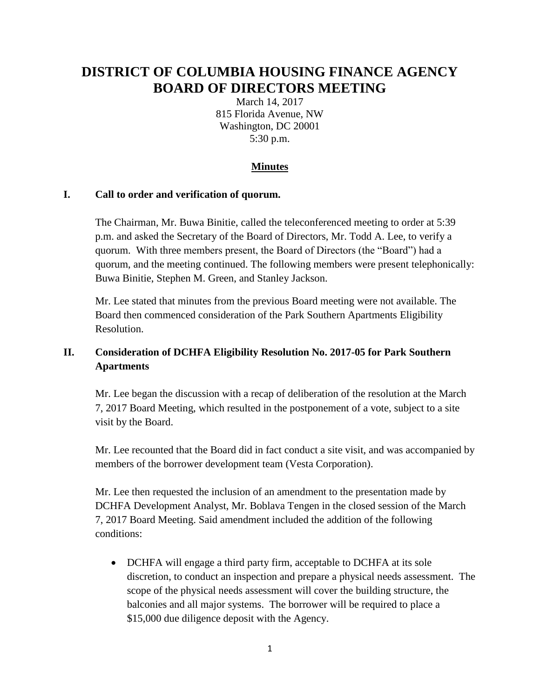# **DISTRICT OF COLUMBIA HOUSING FINANCE AGENCY BOARD OF DIRECTORS MEETING**

March 14, 2017 815 Florida Avenue, NW Washington, DC 20001 5:30 p.m.

### **Minutes**

#### **I. Call to order and verification of quorum.**

The Chairman, Mr. Buwa Binitie, called the teleconferenced meeting to order at 5:39 p.m. and asked the Secretary of the Board of Directors, Mr. Todd A. Lee, to verify a quorum. With three members present, the Board of Directors (the "Board") had a quorum, and the meeting continued. The following members were present telephonically: Buwa Binitie, Stephen M. Green, and Stanley Jackson.

Mr. Lee stated that minutes from the previous Board meeting were not available. The Board then commenced consideration of the Park Southern Apartments Eligibility Resolution.

# **II. Consideration of DCHFA Eligibility Resolution No. 2017-05 for Park Southern Apartments**

Mr. Lee began the discussion with a recap of deliberation of the resolution at the March 7, 2017 Board Meeting, which resulted in the postponement of a vote, subject to a site visit by the Board.

Mr. Lee recounted that the Board did in fact conduct a site visit, and was accompanied by members of the borrower development team (Vesta Corporation).

Mr. Lee then requested the inclusion of an amendment to the presentation made by DCHFA Development Analyst, Mr. Boblava Tengen in the closed session of the March 7, 2017 Board Meeting. Said amendment included the addition of the following conditions:

• DCHFA will engage a third party firm, acceptable to DCHFA at its sole discretion, to conduct an inspection and prepare a physical needs assessment. The scope of the physical needs assessment will cover the building structure, the balconies and all major systems. The borrower will be required to place a \$15,000 due diligence deposit with the Agency.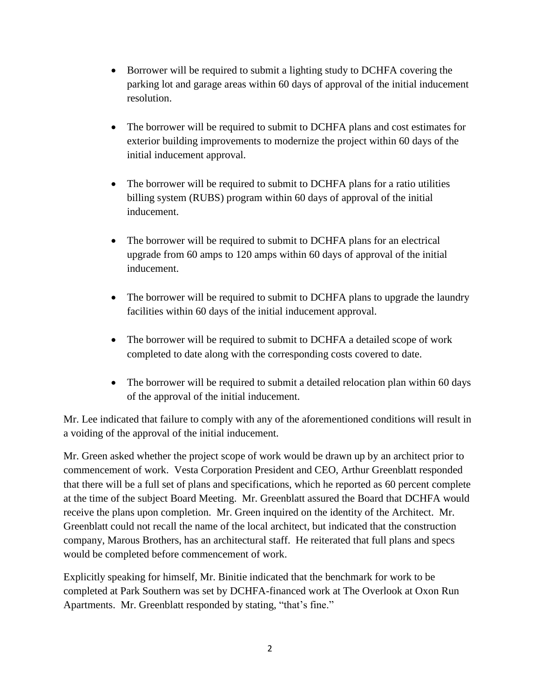- Borrower will be required to submit a lighting study to DCHFA covering the parking lot and garage areas within 60 days of approval of the initial inducement resolution.
- The borrower will be required to submit to DCHFA plans and cost estimates for exterior building improvements to modernize the project within 60 days of the initial inducement approval.
- The borrower will be required to submit to DCHFA plans for a ratio utilities billing system (RUBS) program within 60 days of approval of the initial inducement.
- The borrower will be required to submit to DCHFA plans for an electrical upgrade from 60 amps to 120 amps within 60 days of approval of the initial inducement.
- The borrower will be required to submit to DCHFA plans to upgrade the laundry facilities within 60 days of the initial inducement approval.
- The borrower will be required to submit to DCHFA a detailed scope of work completed to date along with the corresponding costs covered to date.
- The borrower will be required to submit a detailed relocation plan within 60 days of the approval of the initial inducement.

Mr. Lee indicated that failure to comply with any of the aforementioned conditions will result in a voiding of the approval of the initial inducement.

Mr. Green asked whether the project scope of work would be drawn up by an architect prior to commencement of work. Vesta Corporation President and CEO, Arthur Greenblatt responded that there will be a full set of plans and specifications, which he reported as 60 percent complete at the time of the subject Board Meeting. Mr. Greenblatt assured the Board that DCHFA would receive the plans upon completion. Mr. Green inquired on the identity of the Architect. Mr. Greenblatt could not recall the name of the local architect, but indicated that the construction company, Marous Brothers, has an architectural staff. He reiterated that full plans and specs would be completed before commencement of work.

Explicitly speaking for himself, Mr. Binitie indicated that the benchmark for work to be completed at Park Southern was set by DCHFA-financed work at The Overlook at Oxon Run Apartments. Mr. Greenblatt responded by stating, "that's fine."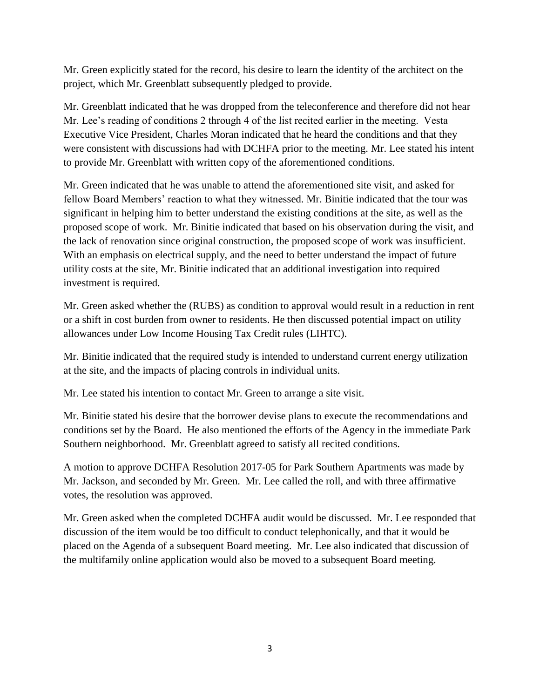Mr. Green explicitly stated for the record, his desire to learn the identity of the architect on the project, which Mr. Greenblatt subsequently pledged to provide.

Mr. Greenblatt indicated that he was dropped from the teleconference and therefore did not hear Mr. Lee's reading of conditions 2 through 4 of the list recited earlier in the meeting. Vesta Executive Vice President, Charles Moran indicated that he heard the conditions and that they were consistent with discussions had with DCHFA prior to the meeting. Mr. Lee stated his intent to provide Mr. Greenblatt with written copy of the aforementioned conditions.

Mr. Green indicated that he was unable to attend the aforementioned site visit, and asked for fellow Board Members' reaction to what they witnessed. Mr. Binitie indicated that the tour was significant in helping him to better understand the existing conditions at the site, as well as the proposed scope of work. Mr. Binitie indicated that based on his observation during the visit, and the lack of renovation since original construction, the proposed scope of work was insufficient. With an emphasis on electrical supply, and the need to better understand the impact of future utility costs at the site, Mr. Binitie indicated that an additional investigation into required investment is required.

Mr. Green asked whether the (RUBS) as condition to approval would result in a reduction in rent or a shift in cost burden from owner to residents. He then discussed potential impact on utility allowances under Low Income Housing Tax Credit rules (LIHTC).

Mr. Binitie indicated that the required study is intended to understand current energy utilization at the site, and the impacts of placing controls in individual units.

Mr. Lee stated his intention to contact Mr. Green to arrange a site visit.

Mr. Binitie stated his desire that the borrower devise plans to execute the recommendations and conditions set by the Board. He also mentioned the efforts of the Agency in the immediate Park Southern neighborhood. Mr. Greenblatt agreed to satisfy all recited conditions.

A motion to approve DCHFA Resolution 2017-05 for Park Southern Apartments was made by Mr. Jackson, and seconded by Mr. Green. Mr. Lee called the roll, and with three affirmative votes, the resolution was approved.

Mr. Green asked when the completed DCHFA audit would be discussed. Mr. Lee responded that discussion of the item would be too difficult to conduct telephonically, and that it would be placed on the Agenda of a subsequent Board meeting. Mr. Lee also indicated that discussion of the multifamily online application would also be moved to a subsequent Board meeting.